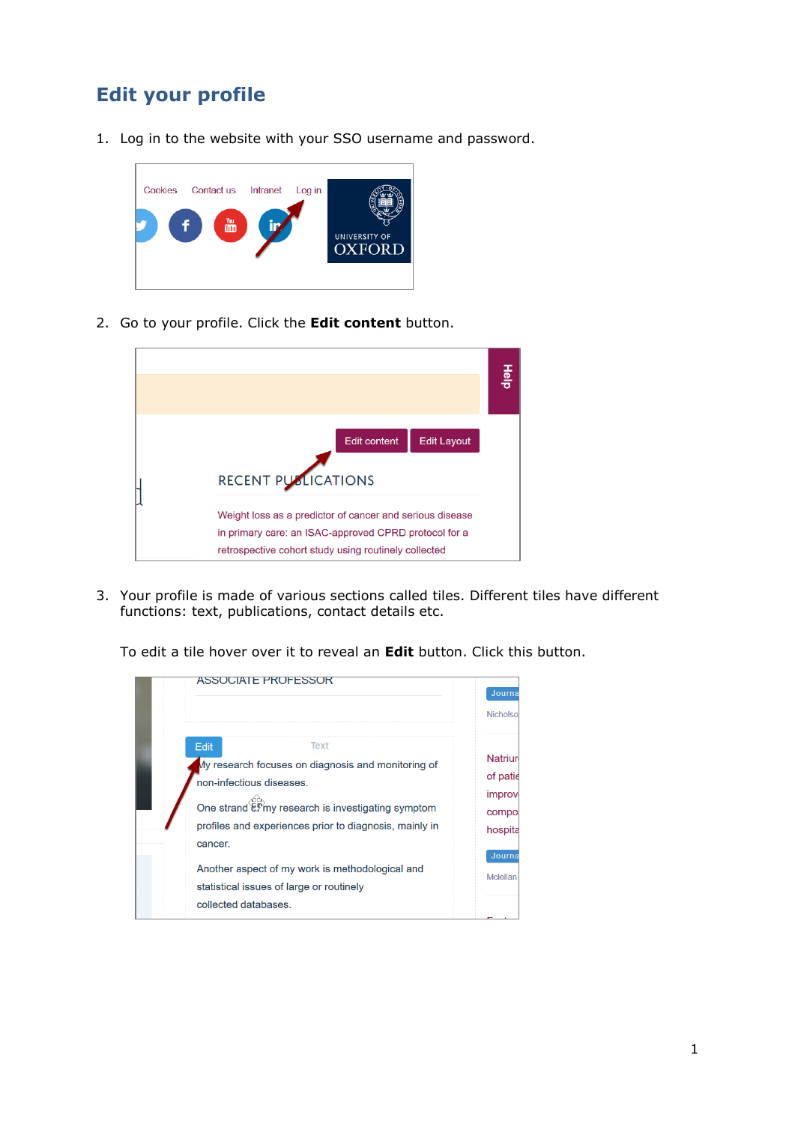## **Edit your profile**

1. Log in to the website with your SSO username and password.



2. Go to your profile. Click the **Edit content** button.



3. Your profile is made of various sections called tiles. Different tiles have different functions: text, publications, contact details etc.



To edit a tile hover over it to reveal an **Edit** button. Click this button.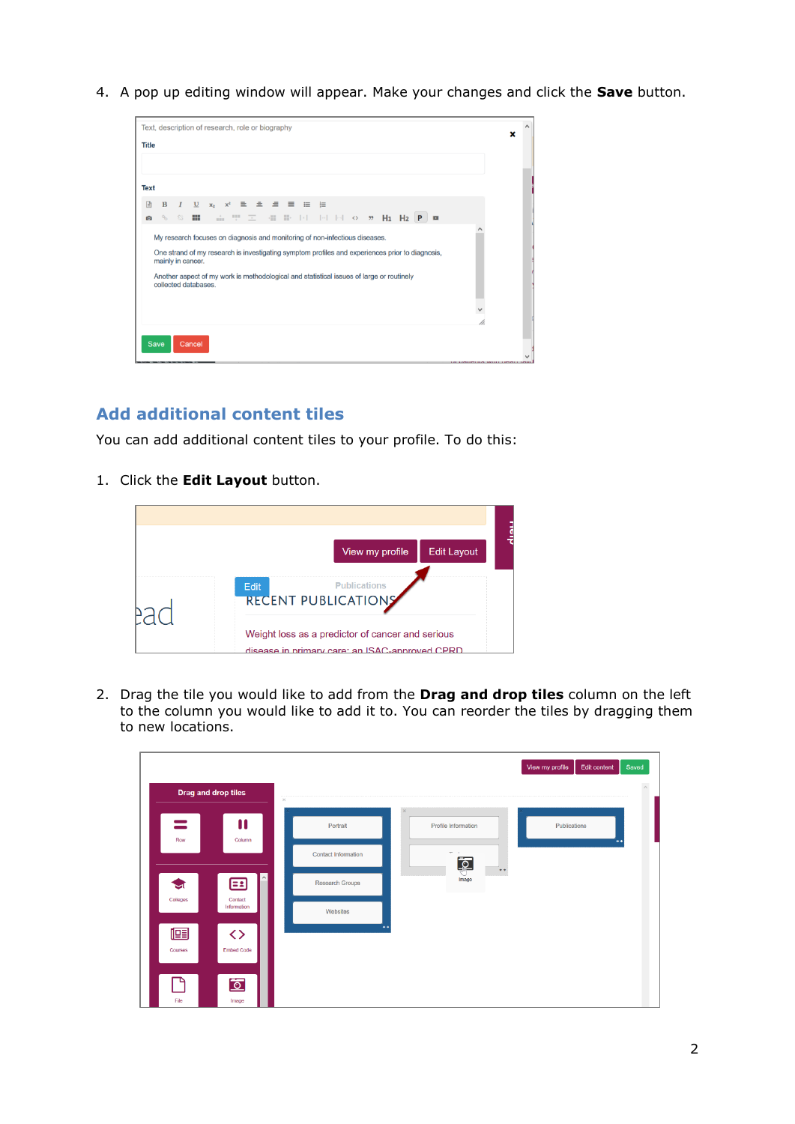4. A pop up editing window will appear. Make your changes and click the **Save** button.



## **Add additional content tiles**

You can add additional content tiles to your profile. To do this:

1. Click the **Edit Layout** button.



2. Drag the tile you would like to add from the **Drag and drop tiles** column on the left to the column you would like to add it to. You can reorder the tiles by dragging them to new locations.